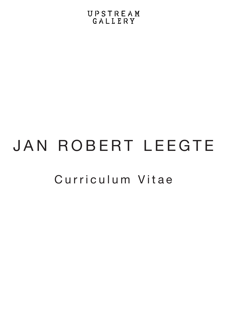## UPSTREAM GALLERY

## Curriculum Vitae JAN ROBERT LEEGTE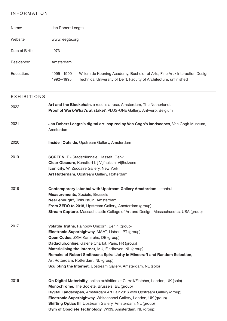## INFORMATION

| Name:              | Jan Robert Leegte                                                                                                                                                                                                                                                                                                                                                                                                                                             |
|--------------------|---------------------------------------------------------------------------------------------------------------------------------------------------------------------------------------------------------------------------------------------------------------------------------------------------------------------------------------------------------------------------------------------------------------------------------------------------------------|
| Website            | www.leegte.org                                                                                                                                                                                                                                                                                                                                                                                                                                                |
| Date of Birth:     | 1973                                                                                                                                                                                                                                                                                                                                                                                                                                                          |
| Residence:         | Amsterdam                                                                                                                                                                                                                                                                                                                                                                                                                                                     |
| Education:         | 1995-1999<br>Willem de Kooning Academy, Bachelor of Arts, Fine Art / Interaction Design<br>1992-1995<br>Technical University of Delft, Faculty of Architecture, unfinished                                                                                                                                                                                                                                                                                    |
| <b>EXHIBITIONS</b> |                                                                                                                                                                                                                                                                                                                                                                                                                                                               |
| 2022               | Art and the Blockchain, a rose is a rose, Amsterdam, The Netherlands<br>Proof of Work-What's at stake?, PLUS-ONE Gallery, Antwerp, Belgium                                                                                                                                                                                                                                                                                                                    |
| 2021               | Jan Robert Leegte's digital art inspired by Van Gogh's landscapes, Van Gogh Museum,<br>Amsterdam                                                                                                                                                                                                                                                                                                                                                              |
| 2020               | Inside   Outside, Upstream Gallery, Amsterdam                                                                                                                                                                                                                                                                                                                                                                                                                 |
| 2019               | <b>SCREEN IT - Stadstriënnale, Hasselt, Genk</b><br>Clear Obscure, Kunstfort bij Vijfhuizen, Vijfhuizens<br>Iconicity, W. Zuccaire Gallery, New York<br>Art Rotterdam, Upstream Gallery, Rotterdam                                                                                                                                                                                                                                                            |
| 2018               | Contemporary Istanbul with Upstream Gallery Amsterdam, Istanbul<br>Measurements, Société, Brussels<br>Near enough?, Tolhuistuin, Amsterdam<br>From ZERO to 2018, Upstream Gallery, Amsterdam (group)<br>Stream Capture, Massachusetts College of Art and Design, Massachusetts, USA (group)                                                                                                                                                                   |
| 2017               | Volatile Truths, Rainbow Unicorn, Berlin (group)<br>Electronic Superhighway, MAAT, Lisbon, PT (group)<br>Open Codes, ZKM Karlsruhe, DE (group)<br>Dadaclub.online, Galerie Charlot, Paris, FR (group)<br>Materialising the Internet, MU, Eindhoven, NL (group)<br>Remake of Robert Smithsons Spiral Jetty in Minecraft and Random Selection,<br>Art Rotterdam, Rotterdam, NL (group)<br><b>Sculpting the Internet, Upstream Gallery, Amsterdam, NL (solo)</b> |
| 2016               | On Digital Materiality, online exhibition at Carroll/Fletcher, London, UK (solo)<br>Monochrome, The Société, Brussels, BE (group)<br>Digital Landscapes, Amsterdam Art Fair 2016 with Upstream Gallery (group)<br>Electronic Superhighway, Whitechapel Gallery, London, UK (group)                                                                                                                                                                            |

**Shifting Optics III**, Upstream Gallery, Amsterdam, NL (group) **Gym of Obsolete Technology**, W139, Amsterdam, NL (group)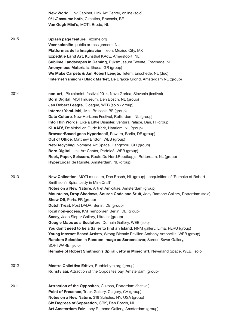|      | <b>New World, Link Cabinet, Link Art Center, online (solo)</b><br>0/1 // assume both, Cimatics, Brussels, BE<br>Van Gogh Mini's, MOTI, Breda, NL                                                                                                                                                                                                                                                                                                                                                                                                                                                                                                                                                                                                                                                                                                                                                           |
|------|------------------------------------------------------------------------------------------------------------------------------------------------------------------------------------------------------------------------------------------------------------------------------------------------------------------------------------------------------------------------------------------------------------------------------------------------------------------------------------------------------------------------------------------------------------------------------------------------------------------------------------------------------------------------------------------------------------------------------------------------------------------------------------------------------------------------------------------------------------------------------------------------------------|
| 2015 | Splash page feature, Rizome.org<br>Veenkoloniën, public art assignment, NL<br>Platformas de la Imaginación, lleon, Mexico City, MX<br><b>Expeditie Land Art, Kunsthal KAdE, Amersfoort, NL</b><br>Sublime Landscapes in Gaming, Rijksmuseum Twente, Enschede, NL<br>Anonymous Materials, Ithaca, GR (group)<br>We Make Carpets & Jan Robert Leegte, Tetem, Enschede, NL (duo)<br>'Internet Yamiichi / Black Market, De Brakke Grond, Amsterdam NL (group)                                                                                                                                                                                                                                                                                                                                                                                                                                                  |
| 2014 | non-art, 'Pixxelpoint' festival 2014, Nova Gorica, Slovenia (festival)<br>Born Digital, MOTI museum, Den Bosch, NL (group)<br>Jan Robert Leegte, Cloaque, WEB (solo / group)<br>Internet Yami-ichi, iMal, Brussels BE (group)<br>Data Culture, New Horizons Festival, Rotterdam, NL (group)<br>Into Thin Words, Like a Little Disaster, Ventura Palace, Bari, IT (group)<br><b>KLAAR!</b> , De Vishal en Oude Kerk, Haarlem, NL (group)<br>BrowserBased goes Hyperlocal!, Powera, Berlin, DE (group)<br><b>Out of Office, Matthew Britton, WEB (group)</b><br>Net-Recycling, Nomade Art Space, Hangzhou, CH (group)<br>Born Digital, Link Art Center, Paddle8, WEB (group)<br>Rock, Paper, Scissors, Route Du Nord: Roodkapje, Rotterdam, NL (group)<br>HyperLocal, de Ruimte, Amsterdam, NL (group)                                                                                                       |
| 2013 | New Collection, MOTI museum, Den Bosch, NL (group) - acquisition of 'Remake of Robert<br>Smithson's Spiral Jetty in MineCraft'<br>Notes on a New Nature, Arti et Amicitiae, Amsterdam (group)<br>Mountains, Drop Shadows, Source Code and Stuff, Joey Ramone Gallery, Rotterdam (solo)<br><b>Show Off, Paris, FR (group)</b><br>Dutch Treat, Post DADA, Berlin, DE (group)<br>local non-access, KM Temporaer, Berlin, DE (group)<br>Sassy, Jaap Sleper Gallery, Utrecht (group)<br>Google Maps as a Sculpture, Domain Gallery, WEB (solo)<br>You don't need to be a Sailer to find an Island, NNM gallery, Lima, PERU (group)<br>Young Internet Based Artists, Wrong Bienale Pavilion Anthony Antonellis, WEB (group)<br>Random Selection in Random Image as Screensaver, Screen Saver Gallery,<br>SOFTWARE, (solo)<br>Remake of Robert Smithson's Spiral Jetty in Minecraft, Neverland Space, WEB, (solo) |
| 2012 | Mostra Collettiva Edtiva, Bubblebyte, org (group)<br>Kunstvlaai, Attraction of the Opposites bay, Amsterdam (group)                                                                                                                                                                                                                                                                                                                                                                                                                                                                                                                                                                                                                                                                                                                                                                                        |
| 2011 | Attraction of the Opposites, Cukosa, Rotterdam (festival)<br>Point of Presence, Truck Gallery, Calgery, CA (group)<br>Notes on a New Nature, 319 Scholes, NY, USA (group)<br>Six Degrees of Separation, CBK, Den Bosch, NL<br>Art Amsterdam Fair, Joey Ramone Gallery, Amsterdam (group)                                                                                                                                                                                                                                                                                                                                                                                                                                                                                                                                                                                                                   |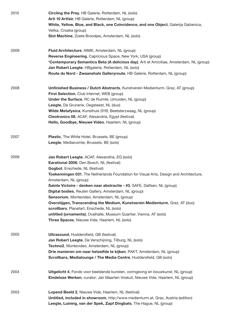| 2010 | <b>Circling the Prey, HB Galerie, Rotterdam, NL (solo)</b><br>Arti 10 Artfair, HB Galerie, Rotterdam, NL (group)<br>White, Yellow, Blue, and Black, one Coincidence, and one Object, Galerija Galzenica,<br>Velika, Croatia (group)<br>Slot Machine, Zoete Broodjes, Amsterdam, NL (solo)                                                                                                                                                                                                                                                                                                                                                                                                    |
|------|----------------------------------------------------------------------------------------------------------------------------------------------------------------------------------------------------------------------------------------------------------------------------------------------------------------------------------------------------------------------------------------------------------------------------------------------------------------------------------------------------------------------------------------------------------------------------------------------------------------------------------------------------------------------------------------------|
| 2009 | Fluid Architecture, NIMK, Amsterdam, NL (group)<br>Reverse Engineering, Capricious Space, New York, USA (group)<br>'Contemporary Semantics Beta (A delicious day), Arti et Amicitiae, Amsterdam, NL (group)<br>Jan Robert Leegte, HBgalerie, Rotterdam, NL (solo)<br>Route du Nord - Zwaanshals Galleryroute, HB Galerie, Rotterdam, NL (group)                                                                                                                                                                                                                                                                                                                                              |
| 2008 | Unfinished Business / Dutch Abstracts, Kunstverein Medienturm, Graz, AT (group)<br>First Selection, Club Internet, WEB (group)<br><b>Under the Surface, RC de Ruimte, IJmuiden, NL (group)</b><br>Leegte, De Grunerie, Oegsteest, NL (duo)<br>Wilde Metafysica, Kunsthuis SYB, Beetsterzwaag, NL (group)<br>Cleotronics 08, ACAF, Alexandria, Egypt (festival)<br>Hello, Goodbye, Nieuwe Video, Haarlem, NL (group)                                                                                                                                                                                                                                                                          |
| 2007 | Plastic, The White Hotel, Brussels, BE (group)<br>Leegte, Mediaruimte, Brussels, BE (solo)                                                                                                                                                                                                                                                                                                                                                                                                                                                                                                                                                                                                   |
| 2006 | Jan Robert Leegte, ACAF, Alexandria, EG (solo)<br>Earational 2006, Den Bosch, NL (festival)<br>Gogbot, Enschede, NL (festival)<br>Toekenningen 031, The Netherlands Foundation for Visual Arts, Design and Architecture,<br>Amsterdam, NL (group)<br>Sainte Victoire - denken naar abstractie - #3, SAFE, Dalfsen, NL (group)<br>Digital bodies, Reuten Gallery, Amsterdam, NL (group)<br>Sensorium, Montevideo, Amsterdam, NL (group)<br>Overstijgen, Transcending the Medium, Kunstverein Medienturm, Graz, AT (duo)<br>scrollbars, Planetart, Enschede, NL (solo)<br>untitled (ornaments), Ovalhalle, Museum Quartier, Vienna, AT (solo)<br>Three Spaces, Nieuwe Vide, Haarlem, NL (solo) |
| 2005 | <b>Ultrasound, Huddersfield, GB (festival)</b><br>Jan Robert Leegte, De Verschijning, Tilburg, NL (solo)<br>Techno2, Montevideo, Amsterdam, NL (group)<br>Drie manieren om naar hetzelfde te kijken, PAKT, Amsterdam, NL (group)<br>Scrollbars, Medialounge / The Media Centre, Huddersfield, GB (solo)                                                                                                                                                                                                                                                                                                                                                                                      |
| 2004 | Uitgelicht 4, Fonds voor beeldende kunsten, vormgeving en bouwkunst, NL (group)<br>Eindeloze Werken, curator: Jan Maarten Voskuil, Nieuwe Vide, Haarlem, NL (group)                                                                                                                                                                                                                                                                                                                                                                                                                                                                                                                          |
| 2003 | Lopend Beeld 2, Nieuwe Vide, Haarlem, NL (festival)<br>Untitled, included in showroom, http://www.medienturm.at, Graz, Austria (edition)<br>Leegte, Luining, van der Spek, Zapf Dingbats, The Hague, NL (group)                                                                                                                                                                                                                                                                                                                                                                                                                                                                              |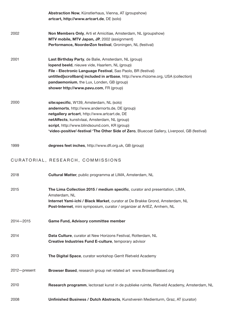|               | Abstraction Now, Künstlerhaus, Vienna, AT (groupshow)<br>artcart, http://www.artcart.de, DE (solo)                                                                                                                                                                                                                                                   |
|---------------|------------------------------------------------------------------------------------------------------------------------------------------------------------------------------------------------------------------------------------------------------------------------------------------------------------------------------------------------------|
| 2002          | Non Members Only, Arti et Amicitiae, Amsterdam, NL (groupshow)<br>MTV mobile, MTV Japan, JP, 2002 (assignment)<br>Performance, NoorderZon festival, Groningen, NL (festival)                                                                                                                                                                         |
| 2001          | Last Birthday Party, de Balie, Amsterdam, NL (group)<br>lopend beeld, nieuwe vide, Haarlem, NL (group)<br>File - Electronic Language Festival, Sao Paolo, BR (festival)<br>untitled[scrollbars] included in artbase, http://www.rhizome.org, USA (collection)<br>pandaemonium, the Lux, Londen, GB (group)<br>shower http://www.pavu.com, FR (group) |
| 2000          | site:specific, W139, Amsterdam, NL (solo)<br>andernorts, http://www.andernorts.de, DE (group)<br>netgallery artcart, http://www.artcart.de, DE<br>netAffects, kunstvlaai, Amsterdam, NL (group)<br>script, http://www.blindsound.com, KR (group)<br>'video-positive'-festival 'The Other Side of Zero, Bluecoat Gallery, Liverpool, GB (festival)    |
| 1999          | degrees feet inches, http://www.dfi.org.uk, GB (group)                                                                                                                                                                                                                                                                                               |
|               | CURATORIAL, RESEARCH, COMMISSIONS                                                                                                                                                                                                                                                                                                                    |
| 2018          | Cultural Matter, public programma at LIMA, Amsterdam, NL                                                                                                                                                                                                                                                                                             |
| 2015          | The Lima Collection 2015 / medium specific, curator and presentation, LIMA,<br>Amsterdam, NL<br>Internet Yami-ichi / Black Market, curator at De Brakke Grond, Amsterdam, NL<br>Post-Internet, mini symposium, curator / organizer at ArtEZ, Arnhem, NL                                                                                              |
| $2014 - 2015$ | <b>Game Fund, Advisory committee member</b>                                                                                                                                                                                                                                                                                                          |
| 2014          | Data Culture, curator at New Horizons Festival, Rotterdam, NL<br>Creative Industries Fund E-culture, temporary advisor                                                                                                                                                                                                                               |
| 2013          | The Digital Space, curator workshop Gerrit Rietveld Academy                                                                                                                                                                                                                                                                                          |
| 2012-present  | Browser Based, research group net related art www.BrowserBased.org                                                                                                                                                                                                                                                                                   |
| 2010          | Research programm, lectoraat kunst in de publieke ruimte, Rietveld Academy, Amsterdam, NL                                                                                                                                                                                                                                                            |
| 2008          | Unfinished Business / Dutch Abstracts, Kunstverein Medienturm, Graz, AT (curator)                                                                                                                                                                                                                                                                    |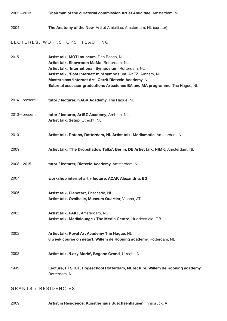2005—2013 2004 2015 2014—present 2013—present 2010 2009 2008—2015 2007 2006 2005 2003 2002 1999 **Chairman of the curatorial commission Art et Amicitiae**, Amsterdam, NL **The Anatomy of the Now**, Arti et Amicitiae, Amsterdam, NL (curator) **Artist talk, MOTI museum**, Den Bosch, NL **Artist talk, Showroom MaMa**, Rotterdam, NL **Artist talk, 'Internetional' Symposium**, Rotterdam, NL **Artist talk, 'Post Internet' mini symposium**, ArtEZ, Arnhem, NL **Masterclass 'Internet Art', Gerrit Rietveld Academy**, NL **External assessor graduations Artscience BA and MA programme**, The Hague, NL **tutor / lecturer, ArtEZ Academy**, Arnhem, NL **Artist talk, Setup**, Utrecht, NL **Artist talk, Planetart**, Enschede, NL **Artist talk, Ovalhalle, Museum Quartier**, Vienna, AT **Artist talk, PAKT**, Amsterdam, NL **Artist talk, Medialounge / The Media Centre**, Huddersfield, GB **Artist talk, Royal Art Academy The Hague**, NL **8 week course on netart, Willem de Kooning academy**, Rotterdam, NL **Lecture, HTS ICT, Hogeschool Rotterdam, NL lecture, Willem de Kooning academy**, Rotterdam, NL **Artist talk, 'Lazy Marie', Begane Grond**, Utrecht, NL **workshop internet art + lecture, ACAF, Alexandria, EG tutor / lecturer, Rietveld Academy**, Amsterdam, NL **Artist talk, 'The Dropshadow Talks', Berlin, DE Artist talk, NIMK**, Amsterdam, NL **Artist talk, Rotabs, Rotterdam, NL Artist talk, Mediamatic**, Amsterdam, NL **tutor / lecturer, KABK Academy**, The Haque, NL LECTURES, WORKSHOPS, TEACHING

GRANTS / RESIDENCIES